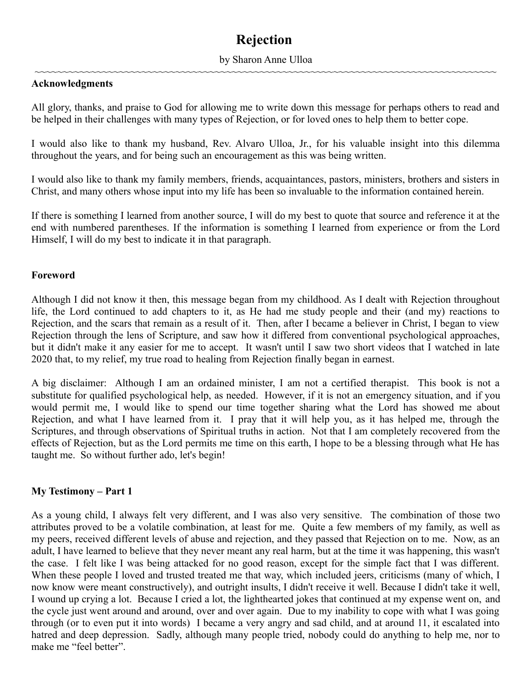# **Rejection**

### by Sharon Anne Ulloa ~~~~~~~~~~~~~~~~~~~~~~~~~~~~~~~~~~~~~~~~~~~~~~~~~~~~~~~~~~~~~~~~~~~~~~~~~~~~~~~~~~

### **Acknowledgments**

All glory, thanks, and praise to God for allowing me to write down this message for perhaps others to read and be helped in their challenges with many types of Rejection, or for loved ones to help them to better cope.

I would also like to thank my husband, Rev. Alvaro Ulloa, Jr., for his valuable insight into this dilemma throughout the years, and for being such an encouragement as this was being written.

I would also like to thank my family members, friends, acquaintances, pastors, ministers, brothers and sisters in Christ, and many others whose input into my life has been so invaluable to the information contained herein.

If there is something I learned from another source, I will do my best to quote that source and reference it at the end with numbered parentheses. If the information is something I learned from experience or from the Lord Himself, I will do my best to indicate it in that paragraph.

### **Foreword**

Although I did not know it then, this message began from my childhood. As I dealt with Rejection throughout life, the Lord continued to add chapters to it, as He had me study people and their (and my) reactions to Rejection, and the scars that remain as a result of it. Then, after I became a believer in Christ, I began to view Rejection through the lens of Scripture, and saw how it differed from conventional psychological approaches, but it didn't make it any easier for me to accept. It wasn't until I saw two short videos that I watched in late 2020 that, to my relief, my true road to healing from Rejection finally began in earnest.

A big disclaimer: Although I am an ordained minister, I am not a certified therapist. This book is not a substitute for qualified psychological help, as needed. However, if it is not an emergency situation, and if you would permit me, I would like to spend our time together sharing what the Lord has showed me about Rejection, and what I have learned from it. I pray that it will help you, as it has helped me, through the Scriptures, and through observations of Spiritual truths in action. Not that I am completely recovered from the effects of Rejection, but as the Lord permits me time on this earth, I hope to be a blessing through what He has taught me. So without further ado, let's begin!

### **My Testimony – Part 1**

As a young child, I always felt very different, and I was also very sensitive. The combination of those two attributes proved to be a volatile combination, at least for me. Quite a few members of my family, as well as my peers, received different levels of abuse and rejection, and they passed that Rejection on to me. Now, as an adult, I have learned to believe that they never meant any real harm, but at the time it was happening, this wasn't the case. I felt like I was being attacked for no good reason, except for the simple fact that I was different. When these people I loved and trusted treated me that way, which included jeers, criticisms (many of which, I now know were meant constructively), and outright insults, I didn't receive it well. Because I didn't take it well, I wound up crying a lot. Because I cried a lot, the lighthearted jokes that continued at my expense went on, and the cycle just went around and around, over and over again. Due to my inability to cope with what I was going through (or to even put it into words) I became a very angry and sad child, and at around 11, it escalated into hatred and deep depression. Sadly, although many people tried, nobody could do anything to help me, nor to make me "feel better".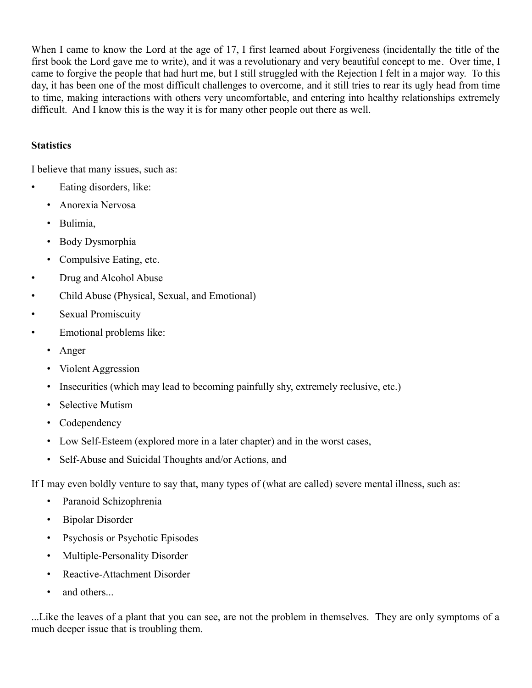When I came to know the Lord at the age of 17, I first learned about Forgiveness (incidentally the title of the first book the Lord gave me to write), and it was a revolutionary and very beautiful concept to me. Over time, I came to forgive the people that had hurt me, but I still struggled with the Rejection I felt in a major way. To this day, it has been one of the most difficult challenges to overcome, and it still tries to rear its ugly head from time to time, making interactions with others very uncomfortable, and entering into healthy relationships extremely difficult. And I know this is the way it is for many other people out there as well.

### **Statistics**

I believe that many issues, such as:

- Eating disorders, like:
	- Anorexia Nervosa
	- Bulimia,
	- Body Dysmorphia
	- Compulsive Eating, etc.
- Drug and Alcohol Abuse
- Child Abuse (Physical, Sexual, and Emotional)
- Sexual Promiscuity
- Emotional problems like:
	- Anger
	- Violent Aggression
	- Insecurities (which may lead to becoming painfully shy, extremely reclusive, etc.)
	- Selective Mutism
	- Codependency
	- Low Self-Esteem (explored more in a later chapter) and in the worst cases,
	- Self-Abuse and Suicidal Thoughts and/or Actions, and

If I may even boldly venture to say that, many types of (what are called) severe mental illness, such as:

- Paranoid Schizophrenia
- Bipolar Disorder
- Psychosis or Psychotic Episodes
- Multiple-Personality Disorder
- Reactive-Attachment Disorder
- and others...

...Like the leaves of a plant that you can see, are not the problem in themselves. They are only symptoms of a much deeper issue that is troubling them.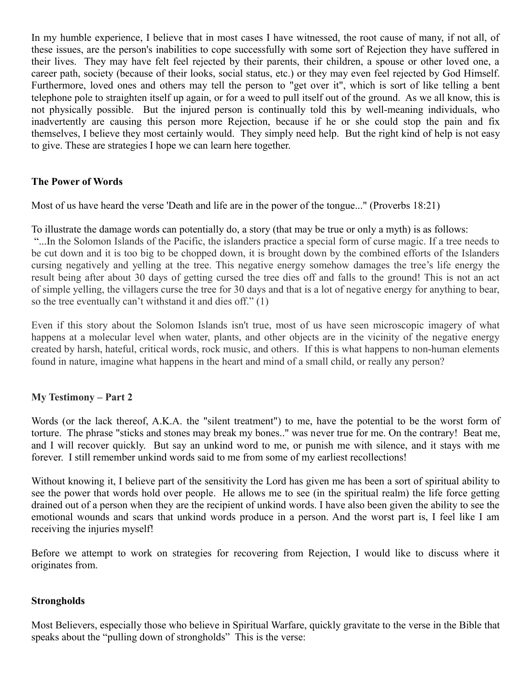In my humble experience, I believe that in most cases I have witnessed, the root cause of many, if not all, of these issues, are the person's inabilities to cope successfully with some sort of Rejection they have suffered in their lives. They may have felt feel rejected by their parents, their children, a spouse or other loved one, a career path, society (because of their looks, social status, etc.) or they may even feel rejected by God Himself. Furthermore, loved ones and others may tell the person to "get over it", which is sort of like telling a bent telephone pole to straighten itself up again, or for a weed to pull itself out of the ground. As we all know, this is not physically possible. But the injured person is continually told this by well-meaning individuals, who inadvertently are causing this person more Rejection, because if he or she could stop the pain and fix themselves, I believe they most certainly would. They simply need help. But the right kind of help is not easy to give. These are strategies I hope we can learn here together.

### **The Power of Words**

Most of us have heard the verse 'Death and life are in the power of the tongue..." (Proverbs 18:21)

To illustrate the damage words can potentially do, a story (that may be true or only a myth) is as follows:

 "...In the Solomon Islands of the Pacific, the islanders practice a special form of curse magic. If a tree needs to be cut down and it is too big to be chopped down, it is brought down by the combined efforts of the Islanders cursing negatively and yelling at the tree. This negative energy somehow damages the tree's life energy the result being after about 30 days of getting cursed the tree dies off and falls to the ground! This is not an act of simple yelling, the villagers curse the tree for 30 days and that is a lot of negative energy for anything to bear, so the tree eventually can't withstand it and dies off." (1)

Even if this story about the Solomon Islands isn't true, most of us have seen microscopic imagery of what happens at a molecular level when water, plants, and other objects are in the vicinity of the negative energy created by harsh, hateful, critical words, rock music, and others. If this is what happens to non-human elements found in nature, imagine what happens in the heart and mind of a small child, or really any person?

### **My Testimony – Part 2**

Words (or the lack thereof, A.K.A. the "silent treatment") to me, have the potential to be the worst form of torture. The phrase "sticks and stones may break my bones.." was never true for me. On the contrary! Beat me, and I will recover quickly. But say an unkind word to me, or punish me with silence, and it stays with me forever. I still remember unkind words said to me from some of my earliest recollections!

Without knowing it, I believe part of the sensitivity the Lord has given me has been a sort of spiritual ability to see the power that words hold over people. He allows me to see (in the spiritual realm) the life force getting drained out of a person when they are the recipient of unkind words. I have also been given the ability to see the emotional wounds and scars that unkind words produce in a person. And the worst part is, I feel like I am receiving the injuries myself!

Before we attempt to work on strategies for recovering from Rejection, I would like to discuss where it originates from.

### **Strongholds**

Most Believers, especially those who believe in Spiritual Warfare, quickly gravitate to the verse in the Bible that speaks about the "pulling down of strongholds" This is the verse: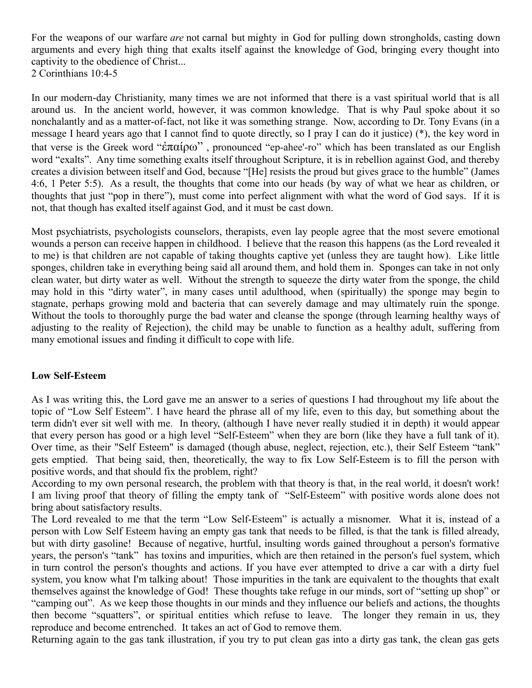For the weapons of our warfare *are* not carnal but mighty in God for pulling down strongholds, casting down arguments and every high thing that exalts itself against the knowledge of God, bringing every thought into captivity to the obedience of Christ... 2 Corinthians 10:4-5

In our modern-day Christianity, many times we are not informed that there is a vast spiritual world that is all around us. In the ancient world, however, it was common knowledge. That is why Paul spoke about it so nonchalantly and as a matter-of-fact, not like it was something strange. Now, according to Dr. Tony Evans (in a message I heard years ago that I cannot find to quote directly, so I pray I can do it justice) (\*), the key word in that verse is the Greek word "ἐπαίρω" , pronounced "ep-ahee'-ro" which has been translated as our English word "exalts". Any time something exalts itself throughout Scripture, it is in rebellion against God, and thereby creates a division between itself and God, because "[He] resists the proud but gives grace to the humble" (James 4:6, 1 Peter 5:5). As a result, the thoughts that come into our heads (by way of what we hear as children, or thoughts that just "pop in there"), must come into perfect alignment with what the word of God says. If it is not, that though has exalted itself against God, and it must be cast down.

Most psychiatrists, psychologists counselors, therapists, even lay people agree that the most severe emotional wounds a person can receive happen in childhood. I believe that the reason this happens (as the Lord revealed it to me) is that children are not capable of taking thoughts captive yet (unless they are taught how). Like little sponges, children take in everything being said all around them, and hold them in. Sponges can take in not only clean water, but dirty water as well. Without the strength to squeeze the dirty water from the sponge, the child may hold in this "dirty water", in many cases until adulthood, when (spiritually) the sponge may begin to stagnate, perhaps growing mold and bacteria that can severely damage and may ultimately ruin the sponge. Without the tools to thoroughly purge the bad water and cleanse the sponge (through learning healthy ways of adjusting to the reality of Rejection), the child may be unable to function as a healthy adult, suffering from many emotional issues and finding it difficult to cope with life.

### **Low Self-Esteem**

As I was writing this, the Lord gave me an answer to a series of questions I had throughout my life about the topic of "Low Self Esteem". I have heard the phrase all of my life, even to this day, but something about the term didn't ever sit well with me. In theory, (although I have never really studied it in depth) it would appear that every person has good or a high level "Self-Esteem" when they are born (like they have a full tank of it). Over time, as their "Self Esteem" is damaged (though abuse, neglect, rejection, etc.), their Self Esteem "tank" gets emptied. That being said, then, theoretically, the way to fix Low Self-Esteem is to fill the person with positive words, and that should fix the problem, right?

According to my own personal research, the problem with that theory is that, in the real world, it doesn't work! I am living proof that theory of filling the empty tank of "Self-Esteem" with positive words alone does not bring about satisfactory results.

The Lord revealed to me that the term "Low Self-Esteem" is actually a misnomer. What it is, instead of a person with Low Self Esteem having an empty gas tank that needs to be filled, is that the tank is filled already, but with dirty gasoline! Because of negative, hurtful, insulting words gained throughout a person's formative years, the person's "tank" has toxins and impurities, which are then retained in the person's fuel system, which in turn control the person's thoughts and actions. If you have ever attempted to drive a car with a dirty fuel system, you know what I'm talking about! Those impurities in the tank are equivalent to the thoughts that exalt themselves against the knowledge of God! These thoughts take refuge in our minds, sort of "setting up shop" or "camping out". As we keep those thoughts in our minds and they influence our beliefs and actions, the thoughts then become "squatters", or spiritual entities which refuse to leave. The longer they remain in us, they reproduce and become entrenched. It takes an act of God to remove them.

Returning again to the gas tank illustration, if you try to put clean gas into a dirty gas tank, the clean gas gets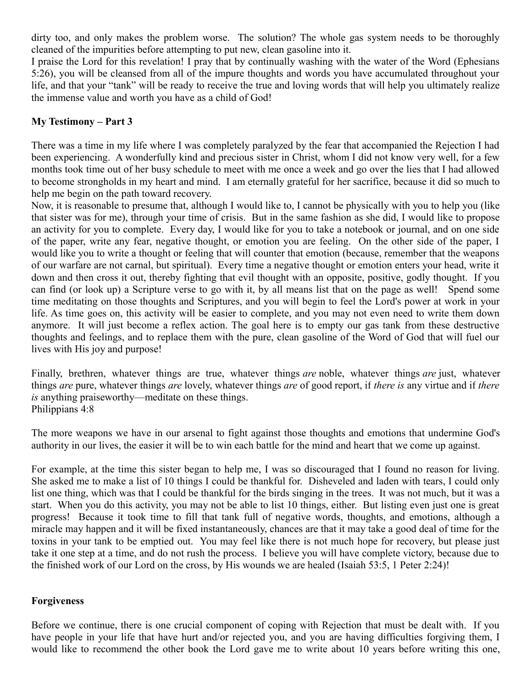dirty too, and only makes the problem worse. The solution? The whole gas system needs to be thoroughly cleaned of the impurities before attempting to put new, clean gasoline into it.

I praise the Lord for this revelation! I pray that by continually washing with the water of the Word (Ephesians 5:26), you will be cleansed from all of the impure thoughts and words you have accumulated throughout your life, and that your "tank" will be ready to receive the true and loving words that will help you ultimately realize the immense value and worth you have as a child of God!

### **My Testimony – Part 3**

There was a time in my life where I was completely paralyzed by the fear that accompanied the Rejection I had been experiencing. A wonderfully kind and precious sister in Christ, whom I did not know very well, for a few months took time out of her busy schedule to meet with me once a week and go over the lies that I had allowed to become strongholds in my heart and mind. I am eternally grateful for her sacrifice, because it did so much to help me begin on the path toward recovery.

Now, it is reasonable to presume that, although I would like to, I cannot be physically with you to help you (like that sister was for me), through your time of crisis. But in the same fashion as she did, I would like to propose an activity for you to complete. Every day, I would like for you to take a notebook or journal, and on one side of the paper, write any fear, negative thought, or emotion you are feeling. On the other side of the paper, I would like you to write a thought or feeling that will counter that emotion (because, remember that the weapons of our warfare are not carnal, but spiritual). Every time a negative thought or emotion enters your head, write it down and then cross it out, thereby fighting that evil thought with an opposite, positive, godly thought. If you can find (or look up) a Scripture verse to go with it, by all means list that on the page as well! Spend some time meditating on those thoughts and Scriptures, and you will begin to feel the Lord's power at work in your life. As time goes on, this activity will be easier to complete, and you may not even need to write them down anymore. It will just become a reflex action. The goal here is to empty our gas tank from these destructive thoughts and feelings, and to replace them with the pure, clean gasoline of the Word of God that will fuel our lives with His joy and purpose!

Finally, brethren, whatever things are true, whatever things *are* noble, whatever things *are* just, whatever things *are* pure, whatever things *are* lovely, whatever things *are* of good report, if *there is* any virtue and if *there is* anything praiseworthy—meditate on these things. Philippians 4:8

The more weapons we have in our arsenal to fight against those thoughts and emotions that undermine God's authority in our lives, the easier it will be to win each battle for the mind and heart that we come up against.

For example, at the time this sister began to help me, I was so discouraged that I found no reason for living. She asked me to make a list of 10 things I could be thankful for. Disheveled and laden with tears, I could only list one thing, which was that I could be thankful for the birds singing in the trees. It was not much, but it was a start. When you do this activity, you may not be able to list 10 things, either. But listing even just one is great progress! Because it took time to fill that tank full of negative words, thoughts, and emotions, although a miracle may happen and it will be fixed instantaneously, chances are that it may take a good deal of time for the toxins in your tank to be emptied out. You may feel like there is not much hope for recovery, but please just take it one step at a time, and do not rush the process. I believe you will have complete victory, because due to the finished work of our Lord on the cross, by His wounds we are healed (Isaiah 53:5, 1 Peter 2:24)!

### **Forgiveness**

Before we continue, there is one crucial component of coping with Rejection that must be dealt with. If you have people in your life that have hurt and/or rejected you, and you are having difficulties forgiving them, I would like to recommend the other book the Lord gave me to write about 10 years before writing this one,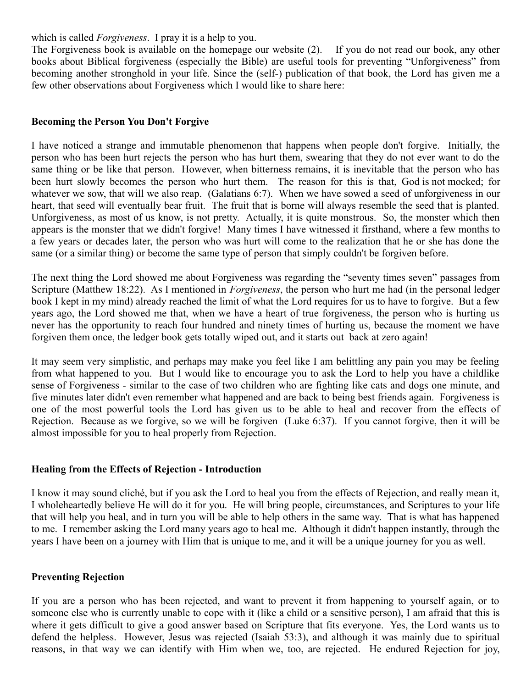which is called *Forgiveness*. I pray it is a help to you.

The Forgiveness book is available on the homepage our website (2). If you do not read our book, any other books about Biblical forgiveness (especially the Bible) are useful tools for preventing "Unforgiveness" from becoming another stronghold in your life. Since the (self-) publication of that book, the Lord has given me a few other observations about Forgiveness which I would like to share here:

### **Becoming the Person You Don't Forgive**

I have noticed a strange and immutable phenomenon that happens when people don't forgive. Initially, the person who has been hurt rejects the person who has hurt them, swearing that they do not ever want to do the same thing or be like that person. However, when bitterness remains, it is inevitable that the person who has been hurt slowly becomes the person who hurt them. The reason for this is that, God is not mocked; for whatever we sow, that will we also reap. (Galatians 6:7). When we have sowed a seed of unforgiveness in our heart, that seed will eventually bear fruit. The fruit that is borne will always resemble the seed that is planted. Unforgiveness, as most of us know, is not pretty. Actually, it is quite monstrous. So, the monster which then appears is the monster that we didn't forgive! Many times I have witnessed it firsthand, where a few months to a few years or decades later, the person who was hurt will come to the realization that he or she has done the same (or a similar thing) or become the same type of person that simply couldn't be forgiven before.

The next thing the Lord showed me about Forgiveness was regarding the "seventy times seven" passages from Scripture (Matthew 18:22). As I mentioned in *Forgiveness*, the person who hurt me had (in the personal ledger book I kept in my mind) already reached the limit of what the Lord requires for us to have to forgive. But a few years ago, the Lord showed me that, when we have a heart of true forgiveness, the person who is hurting us never has the opportunity to reach four hundred and ninety times of hurting us, because the moment we have forgiven them once, the ledger book gets totally wiped out, and it starts out back at zero again!

It may seem very simplistic, and perhaps may make you feel like I am belittling any pain you may be feeling from what happened to you. But I would like to encourage you to ask the Lord to help you have a childlike sense of Forgiveness - similar to the case of two children who are fighting like cats and dogs one minute, and five minutes later didn't even remember what happened and are back to being best friends again. Forgiveness is one of the most powerful tools the Lord has given us to be able to heal and recover from the effects of Rejection. Because as we forgive, so we will be forgiven (Luke 6:37). If you cannot forgive, then it will be almost impossible for you to heal properly from Rejection.

### **Healing from the Effects of Rejection - Introduction**

I know it may sound cliché, but if you ask the Lord to heal you from the effects of Rejection, and really mean it, I wholeheartedly believe He will do it for you. He will bring people, circumstances, and Scriptures to your life that will help you heal, and in turn you will be able to help others in the same way. That is what has happened to me. I remember asking the Lord many years ago to heal me. Although it didn't happen instantly, through the years I have been on a journey with Him that is unique to me, and it will be a unique journey for you as well.

### **Preventing Rejection**

If you are a person who has been rejected, and want to prevent it from happening to yourself again, or to someone else who is currently unable to cope with it (like a child or a sensitive person), I am afraid that this is where it gets difficult to give a good answer based on Scripture that fits everyone. Yes, the Lord wants us to defend the helpless. However, Jesus was rejected (Isaiah 53:3), and although it was mainly due to spiritual reasons, in that way we can identify with Him when we, too, are rejected. He endured Rejection for joy,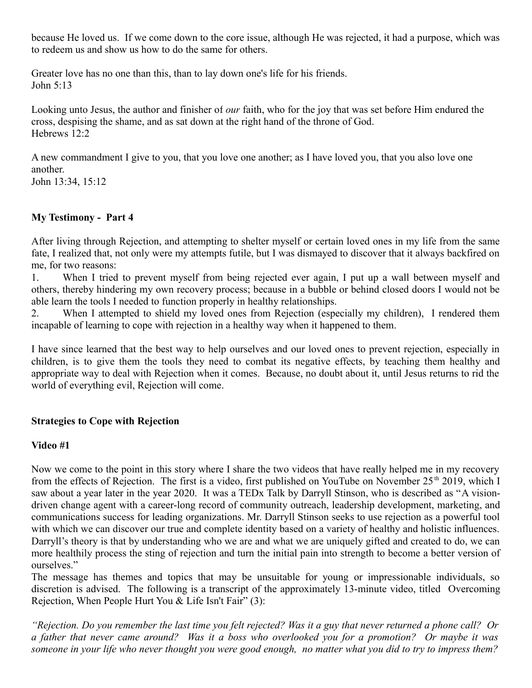because He loved us. If we come down to the core issue, although He was rejected, it had a purpose, which was to redeem us and show us how to do the same for others.

Greater love has no one than this, than to lay down one's life for his friends. John 5:13

Looking unto Jesus, the author and finisher of *our* faith, who for the joy that was set before Him endured the cross, despising the shame, and as sat down at the right hand of the throne of God. Hebrews 12:2

A new commandment I give to you, that you love one another; as I have loved you, that you also love one another.

John 13:34, 15:12

# **My Testimony - Part 4**

After living through Rejection, and attempting to shelter myself or certain loved ones in my life from the same fate, I realized that, not only were my attempts futile, but I was dismayed to discover that it always backfired on me, for two reasons:

1. When I tried to prevent myself from being rejected ever again, I put up a wall between myself and others, thereby hindering my own recovery process; because in a bubble or behind closed doors I would not be able learn the tools I needed to function properly in healthy relationships.

2. When I attempted to shield my loved ones from Rejection (especially my children), I rendered them incapable of learning to cope with rejection in a healthy way when it happened to them.

I have since learned that the best way to help ourselves and our loved ones to prevent rejection, especially in children, is to give them the tools they need to combat its negative effects, by teaching them healthy and appropriate way to deal with Rejection when it comes. Because, no doubt about it, until Jesus returns to rid the world of everything evil, Rejection will come.

## **Strategies to Cope with Rejection**

### **Video #1**

Now we come to the point in this story where I share the two videos that have really helped me in my recovery from the effects of Rejection. The first is a video, first published on YouTube on November 25<sup>th</sup> 2019, which I saw about a year later in the year 2020. It was a TEDx Talk by Darryll Stinson, who is described as "A visiondriven change agent with a career-long record of community outreach, leadership development, marketing, and communications success for leading organizations. Mr. Darryll Stinson seeks to use rejection as a powerful tool with which we can discover our true and complete identity based on a variety of healthy and holistic influences. Darryll's theory is that by understanding who we are and what we are uniquely gifted and created to do, we can more healthily process the sting of rejection and turn the initial pain into strength to become a better version of ourselves."

The message has themes and topics that may be unsuitable for young or impressionable individuals, so discretion is advised. The following is a transcript of the approximately 13-minute video, titled Overcoming Rejection, When People Hurt You & Life Isn't Fair" (3):

*"Rejection. Do you remember the last time you felt rejected? Was it a guy that never returned a phone call? Or a father that never came around? Was it a boss who overlooked you for a promotion? Or maybe it was someone in your life who never thought you were good enough, no matter what you did to try to impress them?*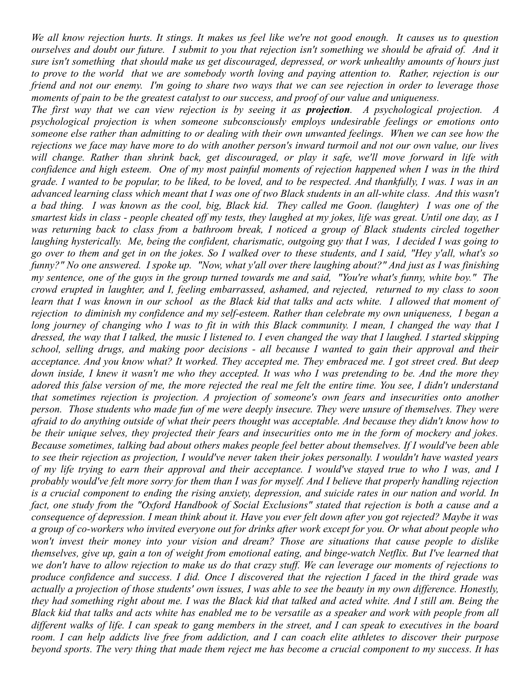*We all know rejection hurts. It stings. It makes us feel like we're not good enough. It causes us to question ourselves and doubt our future. I submit to you that rejection isn't something we should be afraid of. And it sure isn't something that should make us get discouraged, depressed, or work unhealthy amounts of hours just to prove to the world that we are somebody worth loving and paying attention to. Rather, rejection is our friend and not our enemy. I'm going to share two ways that we can see rejection in order to leverage those moments of pain to be the greatest catalyst to our success, and proof of our value and uniqueness.* 

*The first way that we can view rejection is by seeing it as projection. A psychological projection. A psychological projection is when someone subconsciously employs undesirable feelings or emotions onto someone else rather than admitting to or dealing with their own unwanted feelings. When we can see how the rejections we face may have more to do with another person's inward turmoil and not our own value, our lives will change. Rather than shrink back, get discouraged, or play it safe, we'll move forward in life with confidence and high esteem. One of my most painful moments of rejection happened when I was in the third grade. I wanted to be popular, to be liked, to be loved, and to be respected. And thankfully, I was. I was in an advanced learning class which meant that I was one of two Black students in an all-white class. And this wasn't a bad thing. I was known as the cool, big, Black kid. They called me Goon. (laughter) I was one of the smartest kids in class - people cheated off my tests, they laughed at my jokes, life was great. Until one day, as I was returning back to class from a bathroom break, I noticed a group of Black students circled together laughing hysterically. Me, being the confident, charismatic, outgoing guy that I was, I decided I was going to go over to them and get in on the jokes. So I walked over to these students, and I said, "Hey y'all, what's so funny?" No one answered. I spoke up. "Now, what y'all over there laughing about?" And just as I was finishing my sentence, one of the guys in the group turned towards me and said, "You're what's funny, white boy." The crowd erupted in laughter, and I, feeling embarrassed, ashamed, and rejected, returned to my class to soon learn that I was known in our school as the Black kid that talks and acts white. I allowed that moment of rejection to diminish my confidence and my self-esteem. Rather than celebrate my own uniqueness, I began a long journey of changing who I was to fit in with this Black community. I mean, I changed the way that I dressed, the way that I talked, the music I listened to. I even changed the way that I laughed. I started skipping school, selling drugs, and making poor decisions - all because I wanted to gain their approval and their acceptance. And you know what? It worked. They accepted me. They embraced me. I got street cred. But deep down inside, I knew it wasn't me who they accepted. It was who I was pretending to be. And the more they adored this false version of me, the more rejected the real me felt the entire time. You see, I didn't understand that sometimes rejection is projection. A projection of someone's own fears and insecurities onto another person. Those students who made fun of me were deeply insecure. They were unsure of themselves. They were afraid to do anything outside of what their peers thought was acceptable. And because they didn't know how to be their unique selves, they projected their fears and insecurities onto me in the form of mockery and jokes. Because sometimes, talking bad about others makes people feel better about themselves. If I would've been able to see their rejection as projection, I would've never taken their jokes personally. I wouldn't have wasted years of my life trying to earn their approval and their acceptance. I would've stayed true to who I was, and I probably would've felt more sorry for them than I was for myself. And I believe that properly handling rejection is a crucial component to ending the rising anxiety, depression, and suicide rates in our nation and world. In fact, one study from the "Oxford Handbook of Social Exclusions" stated that rejection is both a cause and a consequence of depression. I mean think about it. Have you ever felt down after you got rejected? Maybe it was a group of co-workers who invited everyone out for drinks after work except for you. Or what about people who won't invest their money into your vision and dream? Those are situations that cause people to dislike themselves, give up, gain a ton of weight from emotional eating, and binge-watch Netflix. But I've learned that we don't have to allow rejection to make us do that crazy stuff. We can leverage our moments of rejections to produce confidence and success. I did. Once I discovered that the rejection I faced in the third grade was actually a projection of those students' own issues, I was able to see the beauty in my own difference. Honestly, they had something right about me. I was the Black kid that talked and acted white. And I still am. Being the Black kid that talks and acts white has enabled me to be versatile as a speaker and work with people from all different walks of life. I can speak to gang members in the street, and I can speak to executives in the board room. I can help addicts live free from addiction, and I can coach elite athletes to discover their purpose beyond sports. The very thing that made them reject me has become a crucial component to my success. It has*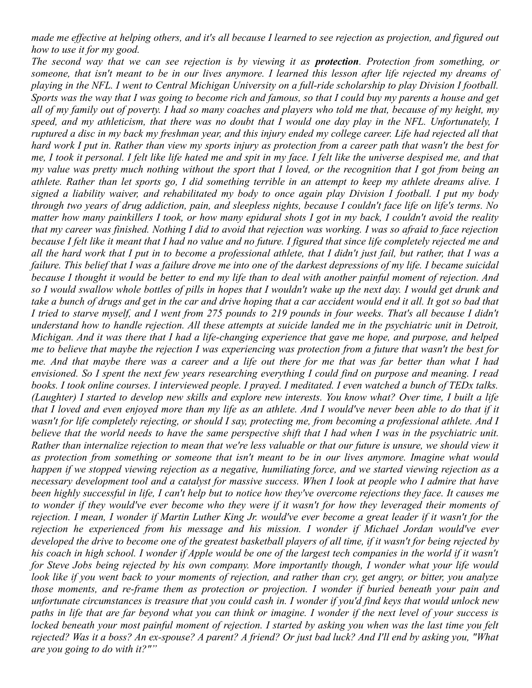*made me effective at helping others, and it's all because I learned to see rejection as projection, and figured out how to use it for my good.* 

*The second way that we can see rejection is by viewing it as protection. Protection from something, or someone, that isn't meant to be in our lives anymore. I learned this lesson after life rejected my dreams of playing in the NFL. I went to Central Michigan University on a full-ride scholarship to play Division I football. Sports was the way that I was going to become rich and famous, so that I could buy my parents a house and get all of my family out of poverty. I had so many coaches and players who told me that, because of my height, my speed, and my athleticism, that there was no doubt that I would one day play in the NFL. Unfortunately, I ruptured a disc in my back my freshman year, and this injury ended my college career. Life had rejected all that hard work I put in. Rather than view my sports injury as protection from a career path that wasn't the best for me, I took it personal. I felt like life hated me and spit in my face. I felt like the universe despised me, and that my value was pretty much nothing without the sport that I loved, or the recognition that I got from being an athlete. Rather than let sports go, I did something terrible in an attempt to keep my athlete dreams alive. I signed a liability waiver, and rehabilitated my body to once again play Division I football. I put my body through two years of drug addiction, pain, and sleepless nights, because I couldn't face life on life's terms. No matter how many painkillers I took, or how many epidural shots I got in my back, I couldn't avoid the reality that my career was finished. Nothing I did to avoid that rejection was working. I was so afraid to face rejection because I felt like it meant that I had no value and no future. I figured that since life completely rejected me and all the hard work that I put in to become a professional athlete, that I didn't just fail, but rather, that I was a failure. This belief that I was a failure drove me into one of the darkest depressions of my life. I became suicidal because I thought it would be better to end my life than to deal with another painful moment of rejection. And so I would swallow whole bottles of pills in hopes that I wouldn't wake up the next day. I would get drunk and take a bunch of drugs and get in the car and drive hoping that a car accident would end it all. It got so bad that I tried to starve myself, and I went from 275 pounds to 219 pounds in four weeks. That's all because I didn't understand how to handle rejection. All these attempts at suicide landed me in the psychiatric unit in Detroit, Michigan. And it was there that I had a life-changing experience that gave me hope, and purpose, and helped me to believe that maybe the rejection I was experiencing was protection from a future that wasn't the best for me. And that maybe there was a career and a life out there for me that was far better than what I had envisioned. So I spent the next few years researching everything I could find on purpose and meaning. I read books. I took online courses. I interviewed people. I prayed. I meditated. I even watched a bunch of TEDx talks. (Laughter) I started to develop new skills and explore new interests. You know what? Over time, I built a life that I loved and even enjoyed more than my life as an athlete. And I would've never been able to do that if it wasn't for life completely rejecting, or should I say, protecting me, from becoming a professional athlete. And I believe that the world needs to have the same perspective shift that I had when I was in the psychiatric unit. Rather than internalize rejection to mean that we're less valuable or that our future is unsure, we should view it as protection from something or someone that isn't meant to be in our lives anymore. Imagine what would happen if we stopped viewing rejection as a negative, humiliating force, and we started viewing rejection as a necessary development tool and a catalyst for massive success. When I look at people who I admire that have been highly successful in life, I can't help but to notice how they've overcome rejections they face. It causes me to wonder if they would've ever become who they were if it wasn't for how they leveraged their moments of rejection. I mean, I wonder if Martin Luther King Jr. would've ever become a great leader if it wasn't for the rejection he experienced from his message and his mission. I wonder if Michael Jordan would've ever developed the drive to become one of the greatest basketball players of all time, if it wasn't for being rejected by his coach in high school. I wonder if Apple would be one of the largest tech companies in the world if it wasn't for Steve Jobs being rejected by his own company. More importantly though, I wonder what your life would look like if you went back to your moments of rejection, and rather than cry, get angry, or bitter, you analyze those moments, and re-frame them as protection or projection. I wonder if buried beneath your pain and unfortunate circumstances is treasure that you could cash in. I wonder if you'd find keys that would unlock new paths in life that are far beyond what you can think or imagine. I wonder if the next level of your success is locked beneath your most painful moment of rejection. I started by asking you when was the last time you felt rejected? Was it a boss? An ex-spouse? A parent? A friend? Or just bad luck? And I'll end by asking you, "What are you going to do with it?""*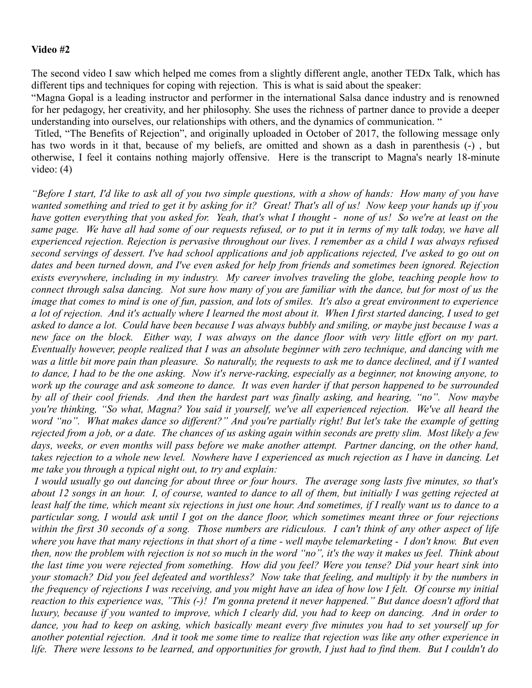### **Video #2**

The second video I saw which helped me comes from a slightly different angle, another TEDx Talk, which has different tips and techniques for coping with rejection. This is what is said about the speaker:

"Magna Gopal is a leading instructor and performer in the international Salsa dance industry and is renowned for her pedagogy, her creativity, and her philosophy. She uses the richness of partner dance to provide a deeper understanding into ourselves, our relationships with others, and the dynamics of communication. "

 Titled, "The Benefits of Rejection", and originally uploaded in October of 2017, the following message only has two words in it that, because of my beliefs, are omitted and shown as a dash in parenthesis (-) , but otherwise, I feel it contains nothing majorly offensive. Here is the transcript to Magna's nearly 18-minute video: (4)

*"Before I start, I'd like to ask all of you two simple questions, with a show of hands: How many of you have wanted something and tried to get it by asking for it? Great! That's all of us! Now keep your hands up if you have gotten everything that you asked for. Yeah, that's what I thought - none of us! So we're at least on the same page. We have all had some of our requests refused, or to put it in terms of my talk today, we have all experienced rejection. Rejection is pervasive throughout our lives. I remember as a child I was always refused second servings of dessert. I've had school applications and job applications rejected, I've asked to go out on dates and been turned down, and I've even asked for help from friends and sometimes been ignored. Rejection exists everywhere, including in my industry. My career involves traveling the globe, teaching people how to connect through salsa dancing. Not sure how many of you are familiar with the dance, but for most of us the image that comes to mind is one of fun, passion, and lots of smiles. It's also a great environment to experience a lot of rejection. And it's actually where I learned the most about it. When I first started dancing, I used to get asked to dance a lot. Could have been because I was always bubbly and smiling, or maybe just because I was a new face on the block. Either way, I was always on the dance floor with very little effort on my part. Eventually however, people realized that I was an absolute beginner with zero technique, and dancing with me was a little bit more pain than pleasure. So naturally, the requests to ask me to dance declined, and if I wanted to dance, I had to be the one asking. Now it's nerve-racking, especially as a beginner, not knowing anyone, to work up the courage and ask someone to dance. It was even harder if that person happened to be surrounded by all of their cool friends. And then the hardest part was finally asking, and hearing, "no". Now maybe you're thinking, "So what, Magna? You said it yourself, we've all experienced rejection. We've all heard the word "no". What makes dance so different?" And you're partially right! But let's take the example of getting rejected from a job, or a date. The chances of us asking again within seconds are pretty slim. Most likely a few days, weeks, or even months will pass before we make another attempt. Partner dancing, on the other hand, takes rejection to a whole new level. Nowhere have I experienced as much rejection as I have in dancing. Let me take you through a typical night out, to try and explain:*

 *I would usually go out dancing for about three or four hours. The average song lasts five minutes, so that's about 12 songs in an hour. I, of course, wanted to dance to all of them, but initially I was getting rejected at least half the time, which meant six rejections in just one hour. And sometimes, if I really want us to dance to a particular song, I would ask until I got on the dance floor, which sometimes meant three or four rejections within the first 30 seconds of a song. Those numbers are ridiculous. I can't think of any other aspect of life where you have that many rejections in that short of a time - well maybe telemarketing - I don't know. But even then, now the problem with rejection is not so much in the word "no", it's the way it makes us feel. Think about the last time you were rejected from something. How did you feel? Were you tense? Did your heart sink into your stomach? Did you feel defeated and worthless? Now take that feeling, and multiply it by the numbers in the frequency of rejections I was receiving, and you might have an idea of how low I felt. Of course my initial reaction to this experience was, "This (-)! I'm gonna pretend it never happened." But dance doesn't afford that luxury, because if you wanted to improve, which I clearly did, you had to keep on dancing. And in order to dance, you had to keep on asking, which basically meant every five minutes you had to set yourself up for another potential rejection. And it took me some time to realize that rejection was like any other experience in life. There were lessons to be learned, and opportunities for growth, I just had to find them. But I couldn't do*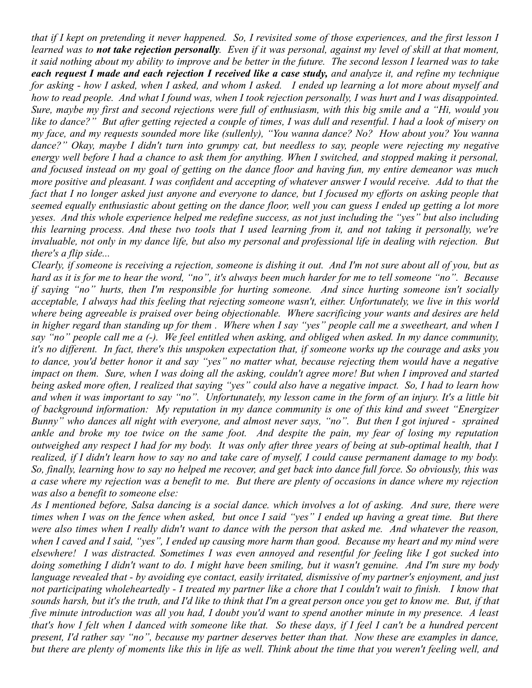*that if I kept on pretending it never happened. So, I revisited some of those experiences, and the first lesson I learned was to not take rejection personally. Even if it was personal, against my level of skill at that moment, it said nothing about my ability to improve and be better in the future. The second lesson I learned was to take each request I made and each rejection I received like a case study, and analyze it, and refine my technique for asking - how I asked, when I asked, and whom I asked. I ended up learning a lot more about myself and how to read people. And what I found was, when I took rejection personally, I was hurt and I was disappointed. Sure, maybe my first and second rejections were full of enthusiasm, with this big smile and a "Hi, would you like to dance?" But after getting rejected a couple of times, I was dull and resentful. I had a look of misery on my face, and my requests sounded more like (sullenly), "You wanna dance? No? How about you? You wanna dance?" Okay, maybe I didn't turn into grumpy cat, but needless to say, people were rejecting my negative energy well before I had a chance to ask them for anything. When I switched, and stopped making it personal, and focused instead on my goal of getting on the dance floor and having fun, my entire demeanor was much more positive and pleasant. I was confident and accepting of whatever answer I would receive. Add to that the fact that I no longer asked just anyone and everyone to dance, but I focused my efforts on asking people that seemed equally enthusiastic about getting on the dance floor, well you can guess I ended up getting a lot more yeses. And this whole experience helped me redefine success, as not just including the "yes" but also including this learning process. And these two tools that I used learning from it, and not taking it personally, we're invaluable, not only in my dance life, but also my personal and professional life in dealing with rejection. But there's a flip side...*

*Clearly, if someone is receiving a rejection, someone is dishing it out. And I'm not sure about all of you, but as hard as it is for me to hear the word, "no", it's always been much harder for me to tell someone "no". Because if saying "no" hurts, then I'm responsible for hurting someone. And since hurting someone isn't socially acceptable, I always had this feeling that rejecting someone wasn't, either. Unfortunately, we live in this world where being agreeable is praised over being objectionable. Where sacrificing your wants and desires are held in higher regard than standing up for them . Where when I say "yes" people call me a sweetheart, and when I say "no" people call me a (-). We feel entitled when asking, and obliged when asked. In my dance community, it's no different. In fact, there's this unspoken expectation that, if someone works up the courage and asks you to dance, you'd better honor it and say "yes" no matter what, because rejecting them would have a negative impact on them. Sure, when I was doing all the asking, couldn't agree more! But when I improved and started being asked more often, I realized that saying "yes" could also have a negative impact. So, I had to learn how and when it was important to say "no". Unfortunately, my lesson came in the form of an injury. It's a little bit of background information: My reputation in my dance community is one of this kind and sweet "Energizer Bunny" who dances all night with everyone, and almost never says, "no". But then I got injured - sprained ankle and broke my toe twice on the same foot. And despite the pain, my fear of losing my reputation outweighed any respect I had for my body. It was only after three years of being at sub-optimal health, that I realized, if I didn't learn how to say no and take care of myself, I could cause permanent damage to my body. So, finally, learning how to say no helped me recover, and get back into dance full force. So obviously, this was a case where my rejection was a benefit to me. But there are plenty of occasions in dance where my rejection was also a benefit to someone else:*

*As I mentioned before, Salsa dancing is a social dance. which involves a lot of asking. And sure, there were times when I was on the fence when asked, but once I said "yes" I ended up having a great time. But there were also times when I really didn't want to dance with the person that asked me. And whatever the reason, when I caved and I said, "yes", I ended up causing more harm than good. Because my heart and my mind were elsewhere! I was distracted. Sometimes I was even annoyed and resentful for feeling like I got sucked into doing something I didn't want to do. I might have been smiling, but it wasn't genuine. And I'm sure my body language revealed that - by avoiding eye contact, easily irritated, dismissive of my partner's enjoyment, and just not participating wholeheartedly - I treated my partner like a chore that I couldn't wait to finish. I know that sounds harsh, but it's the truth, and I'd like to think that I'm a great person once you get to know me. But, if that five minute introduction was all you had, I doubt you'd want to spend another minute in my presence. A least that's how I felt when I danced with someone like that. So these days, if I feel I can't be a hundred percent present, I'd rather say "no", because my partner deserves better than that. Now these are examples in dance, but there are plenty of moments like this in life as well. Think about the time that you weren't feeling well, and*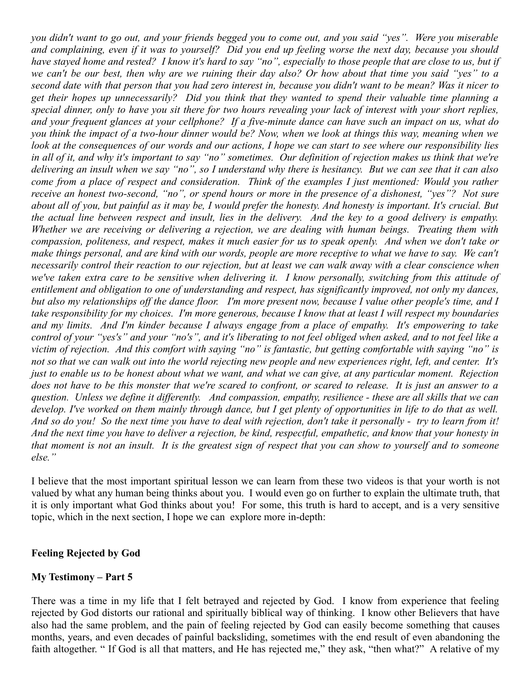*you didn't want to go out, and your friends begged you to come out, and you said "yes". Were you miserable and complaining, even if it was to yourself? Did you end up feeling worse the next day, because you should have stayed home and rested? I know it's hard to say "no", especially to those people that are close to us, but if we can't be our best, then why are we ruining their day also? Or how about that time you said "yes" to a second date with that person that you had zero interest in, because you didn't want to be mean? Was it nicer to get their hopes up unnecessarily? Did you think that they wanted to spend their valuable time planning a special dinner, only to have you sit there for two hours revealing your lack of interest with your short replies, and your frequent glances at your cellphone? If a five-minute dance can have such an impact on us, what do you think the impact of a two-hour dinner would be? Now, when we look at things this way, meaning when we look at the consequences of our words and our actions, I hope we can start to see where our responsibility lies in all of it, and why it's important to say "no" sometimes. Our definition of rejection makes us think that we're delivering an insult when we say "no", so I understand why there is hesitancy. But we can see that it can also come from a place of respect and consideration. Think of the examples I just mentioned: Would you rather receive an honest two-second, "no", or spend hours or more in the presence of a dishonest, "yes"? Not sure about all of you, but painful as it may be, I would prefer the honesty. And honesty is important. It's crucial. But the actual line between respect and insult, lies in the delivery. And the key to a good delivery is empathy. Whether we are receiving or delivering a rejection, we are dealing with human beings. Treating them with compassion, politeness, and respect, makes it much easier for us to speak openly. And when we don't take or make things personal, and are kind with our words, people are more receptive to what we have to say. We can't necessarily control their reaction to our rejection, but at least we can walk away with a clear conscience when we've taken extra care to be sensitive when delivering it. I know personally, switching from this attitude of entitlement and obligation to one of understanding and respect, has significantly improved, not only my dances, but also my relationships off the dance floor. I'm more present now, because I value other people's time, and I take responsibility for my choices. I'm more generous, because I know that at least I will respect my boundaries and my limits. And I'm kinder because I always engage from a place of empathy. It's empowering to take control of your "yes's" and your "no's", and it's liberating to not feel obliged when asked, and to not feel like a victim of rejection. And this comfort with saying "no" is fantastic, but getting comfortable with saying "no" is not so that we can walk out into the world rejecting new people and new experiences right, left, and center. It's just to enable us to be honest about what we want, and what we can give, at any particular moment. Rejection does not have to be this monster that we're scared to confront, or scared to release. It is just an answer to a question. Unless we define it differently. And compassion, empathy, resilience - these are all skills that we can develop. I've worked on them mainly through dance, but I get plenty of opportunities in life to do that as well. And so do you! So the next time you have to deal with rejection, don't take it personally - try to learn from it! And the next time you have to deliver a rejection, be kind, respectful, empathetic, and know that your honesty in that moment is not an insult. It is the greatest sign of respect that you can show to yourself and to someone else."*

I believe that the most important spiritual lesson we can learn from these two videos is that your worth is not valued by what any human being thinks about you. I would even go on further to explain the ultimate truth, that it is only important what God thinks about you! For some, this truth is hard to accept, and is a very sensitive topic, which in the next section, I hope we can explore more in-depth:

### **Feeling Rejected by God**

### **My Testimony – Part 5**

There was a time in my life that I felt betrayed and rejected by God. I know from experience that feeling rejected by God distorts our rational and spiritually biblical way of thinking. I know other Believers that have also had the same problem, and the pain of feeling rejected by God can easily become something that causes months, years, and even decades of painful backsliding, sometimes with the end result of even abandoning the faith altogether. " If God is all that matters, and He has rejected me," they ask, "then what?" A relative of my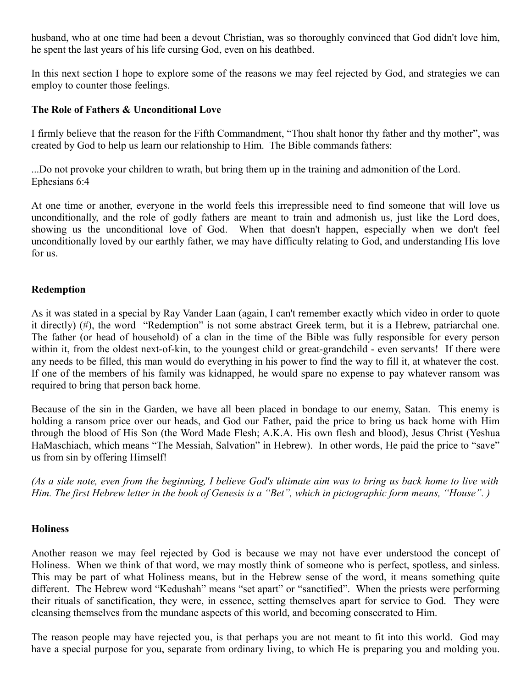husband, who at one time had been a devout Christian, was so thoroughly convinced that God didn't love him, he spent the last years of his life cursing God, even on his deathbed.

In this next section I hope to explore some of the reasons we may feel rejected by God, and strategies we can employ to counter those feelings.

### **The Role of Fathers & Unconditional Love**

I firmly believe that the reason for the Fifth Commandment, "Thou shalt honor thy father and thy mother", was created by God to help us learn our relationship to Him. The Bible commands fathers:

...Do not provoke your children to wrath, but bring them up in the training and admonition of the Lord. Ephesians 6:4

At one time or another, everyone in the world feels this irrepressible need to find someone that will love us unconditionally, and the role of godly fathers are meant to train and admonish us, just like the Lord does, showing us the unconditional love of God. When that doesn't happen, especially when we don't feel unconditionally loved by our earthly father, we may have difficulty relating to God, and understanding His love for us.

### **Redemption**

As it was stated in a special by Ray Vander Laan (again, I can't remember exactly which video in order to quote it directly) (#), the word "Redemption" is not some abstract Greek term, but it is a Hebrew, patriarchal one. The father (or head of household) of a clan in the time of the Bible was fully responsible for every person within it, from the oldest next-of-kin, to the youngest child or great-grandchild - even servants! If there were any needs to be filled, this man would do everything in his power to find the way to fill it, at whatever the cost. If one of the members of his family was kidnapped, he would spare no expense to pay whatever ransom was required to bring that person back home.

Because of the sin in the Garden, we have all been placed in bondage to our enemy, Satan. This enemy is holding a ransom price over our heads, and God our Father, paid the price to bring us back home with Him through the blood of His Son (the Word Made Flesh; A.K.A. His own flesh and blood), Jesus Christ (Yeshua HaMaschiach, which means "The Messiah, Salvation" in Hebrew). In other words, He paid the price to "save" us from sin by offering Himself!

*(As a side note, even from the beginning, I believe God's ultimate aim was to bring us back home to live with Him. The first Hebrew letter in the book of Genesis is a "Bet", which in pictographic form means, "House". )*

### **Holiness**

Another reason we may feel rejected by God is because we may not have ever understood the concept of Holiness. When we think of that word, we may mostly think of someone who is perfect, spotless, and sinless. This may be part of what Holiness means, but in the Hebrew sense of the word, it means something quite different. The Hebrew word "Kedushah" means "set apart" or "sanctified". When the priests were performing their rituals of sanctification, they were, in essence, setting themselves apart for service to God. They were cleansing themselves from the mundane aspects of this world, and becoming consecrated to Him.

The reason people may have rejected you, is that perhaps you are not meant to fit into this world. God may have a special purpose for you, separate from ordinary living, to which He is preparing you and molding you.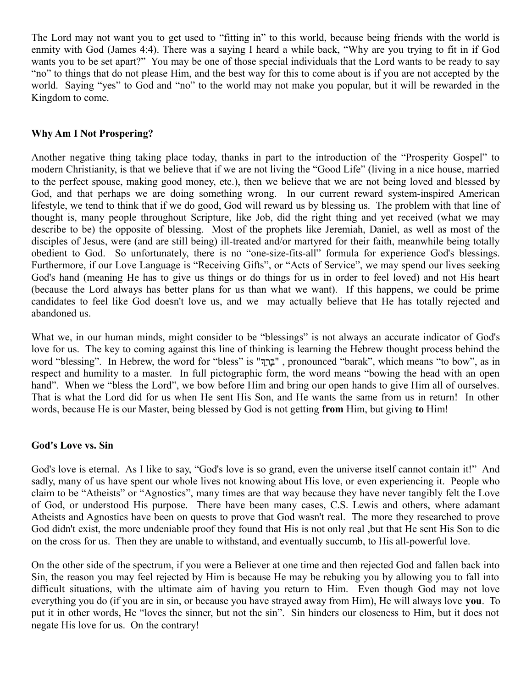The Lord may not want you to get used to "fitting in" to this world, because being friends with the world is enmity with God (James 4:4). There was a saying I heard a while back, "Why are you trying to fit in if God wants you to be set apart?" You may be one of those special individuals that the Lord wants to be ready to say "no" to things that do not please Him, and the best way for this to come about is if you are not accepted by the world. Saying "yes" to God and "no" to the world may not make you popular, but it will be rewarded in the Kingdom to come.

### **Why Am I Not Prospering?**

Another negative thing taking place today, thanks in part to the introduction of the "Prosperity Gospel" to modern Christianity, is that we believe that if we are not living the "Good Life" (living in a nice house, married to the perfect spouse, making good money, etc.), then we believe that we are not being loved and blessed by God, and that perhaps we are doing something wrong. In our current reward system-inspired American lifestyle, we tend to think that if we do good, God will reward us by blessing us. The problem with that line of thought is, many people throughout Scripture, like Job, did the right thing and yet received (what we may describe to be) the opposite of blessing. Most of the prophets like Jeremiah, Daniel, as well as most of the disciples of Jesus, were (and are still being) ill-treated and/or martyred for their faith, meanwhile being totally obedient to God. So unfortunately, there is no "one-size-fits-all" formula for experience God's blessings. Furthermore, if our Love Language is "Receiving Gifts", or "Acts of Service", we may spend our lives seeking God's hand (meaning He has to give us things or do things for us in order to feel loved) and not His heart (because the Lord always has better plans for us than what we want). If this happens, we could be prime candidates to feel like God doesn't love us, and we may actually believe that He has totally rejected and abandoned us.

What we, in our human minds, might consider to be "blessings" is not always an accurate indicator of God's love for us. The key to coming against this line of thinking is learning the Hebrew thought process behind the word "blessing". In Hebrew, the word for "bless" is "ךךְררַבך ", pronounced "barak", which means "to bow", as in respect and humility to a master. In full pictographic form, the word means "bowing the head with an open hand". When we "bless the Lord", we bow before Him and bring our open hands to give Him all of ourselves. That is what the Lord did for us when He sent His Son, and He wants the same from us in return! In other words, because He is our Master, being blessed by God is not getting **from** Him, but giving **to** Him!

### **God's Love vs. Sin**

God's love is eternal. As I like to say, "God's love is so grand, even the universe itself cannot contain it!" And sadly, many of us have spent our whole lives not knowing about His love, or even experiencing it. People who claim to be "Atheists" or "Agnostics", many times are that way because they have never tangibly felt the Love of God, or understood His purpose. There have been many cases, C.S. Lewis and others, where adamant Atheists and Agnostics have been on quests to prove that God wasn't real. The more they researched to prove God didn't exist, the more undeniable proof they found that His is not only real ,but that He sent His Son to die on the cross for us. Then they are unable to withstand, and eventually succumb, to His all-powerful love.

On the other side of the spectrum, if you were a Believer at one time and then rejected God and fallen back into Sin, the reason you may feel rejected by Him is because He may be rebuking you by allowing you to fall into difficult situations, with the ultimate aim of having you return to Him. Even though God may not love everything you do (if you are in sin, or because you have strayed away from Him), He will always love **you**. To put it in other words, He "loves the sinner, but not the sin". Sin hinders our closeness to Him, but it does not negate His love for us. On the contrary!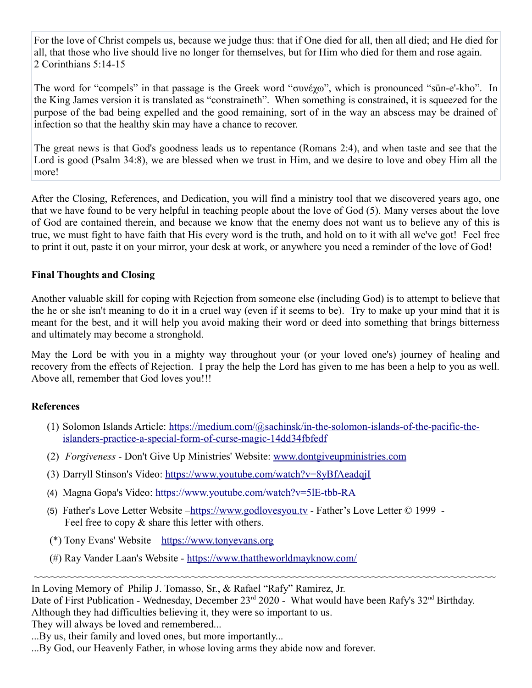For the love of Christ compels us, because we judge thus: that if One died for all, then all died; and He died for all, that those who live should live no longer for themselves, but for Him who died for them and rose again. 2 Corinthians 5:14-15

The word for "compels" in that passage is the Greek word "συνέχω", which is pronounced "sün-e'-kho". In the King James version it is translated as "constraineth". When something is constrained, it is squeezed for the purpose of the bad being expelled and the good remaining, sort of in the way an abscess may be drained of infection so that the healthy skin may have a chance to recover.

The great news is that God's goodness leads us to repentance (Romans 2:4), and when taste and see that the Lord is good (Psalm 34:8), we are blessed when we trust in Him, and we desire to love and obey Him all the more!

After the Closing, References, and Dedication, you will find a ministry tool that we discovered years ago, one that we have found to be very helpful in teaching people about the love of God (5). Many verses about the love of God are contained therein, and because we know that the enemy does not want us to believe any of this is true, we must fight to have faith that His every word is the truth, and hold on to it with all we've got! Feel free to print it out, paste it on your mirror, your desk at work, or anywhere you need a reminder of the love of God!

### **Final Thoughts and Closing**

Another valuable skill for coping with Rejection from someone else (including God) is to attempt to believe that the he or she isn't meaning to do it in a cruel way (even if it seems to be). Try to make up your mind that it is meant for the best, and it will help you avoid making their word or deed into something that brings bitterness and ultimately may become a stronghold.

May the Lord be with you in a mighty way throughout your (or your loved one's) journey of healing and recovery from the effects of Rejection. I pray the help the Lord has given to me has been a help to you as well. Above all, remember that God loves you!!!

### **References**

- (1) Solomon Islands Article: [https://medium.com/@sachinsk/in-the-solomon-islands-of-the-pacific-the](https://medium.com/@sachinsk/in-the-solomon-islands-of-the-pacific-the-islanders-practice-a-special-form-of-curse-magic-14dd34fbfedf)[islanders-practice-a-special-form-of-curse-magic-14dd34fbfedf](https://medium.com/@sachinsk/in-the-solomon-islands-of-the-pacific-the-islanders-practice-a-special-form-of-curse-magic-14dd34fbfedf)
- (2) *Forgiveness* Don't Give Up Ministries' Website: [www.dontgiveupministries.com](http://www.dontgiveupministries.com/)
- (3) Darryll Stinson's Video:<https://www.youtube.com/watch?v=8yBfAeadqjI>
- (4) Magna Gopa's Video:<https://www.youtube.com/watch?v=5lE-tbb-R>[A](https://www.youtube.com/watch?v=5lE-tbb-R_A)
- (5) Father's Love Letter Website  [https://www.godlovesyou.tv](https://www.godlovesyou.tv/)  Father's Love Letter © 1999 Feel free to copy  $\&$  share this letter with others.
- (\*) Tony Evans' Website [https://www.tonyevans.org](https://www.tonyevans.org/)
- (#) Ray Vander Laan's Website -<https://www.thattheworldmayknow.com/>

In Loving Memory of Philip J. Tomasso, Sr., & Rafael "Rafy" Ramirez, Jr.

Date of First Publication - Wednesday, December 23<sup>rd</sup> 2020 - What would have been Rafy's 32<sup>nd</sup> Birthday. Although they had difficulties believing it, they were so important to us. They will always be loved and remembered...

~~~~~~~~~~~~~~~~~~~~~~~~~~~~~~~~~~~~~~~~~~~~~~~~~~~~~~~~~~~~~~~~~~~~~~~~~~~~~~~~~~

...By us, their family and loved ones, but more importantly...

...By God, our Heavenly Father, in whose loving arms they abide now and forever.